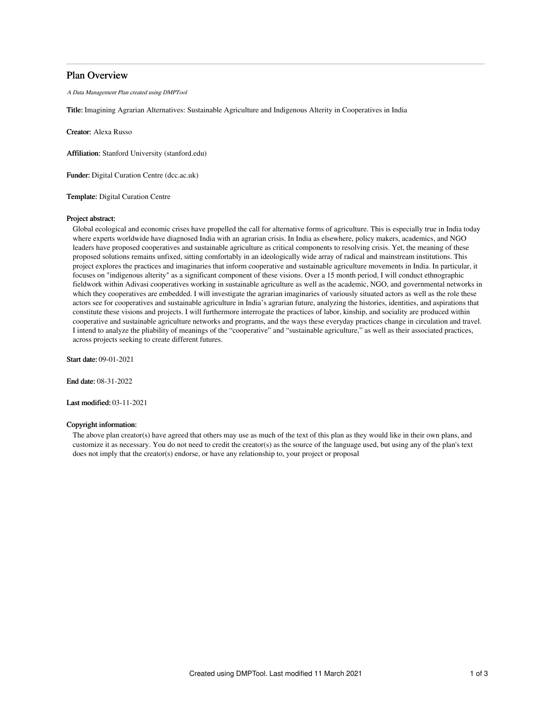## Plan Overview

A Data Management Plan created using DMPTool

Title: Imagining Agrarian Alternatives: Sustainable Agriculture and Indigenous Alterity in Cooperatives in India

Creator: Alexa Russo

Affiliation: Stanford University (stanford.edu)

Funder: Digital Curation Centre (dcc.ac.uk)

Template: Digital Curation Centre

## Project abstract:

Global ecological and economic crises have propelled the call for alternative forms of agriculture. This is especially true in India today where experts worldwide have diagnosed India with an agrarian crisis. In India as elsewhere, policy makers, academics, and NGO leaders have proposed cooperatives and sustainable agriculture as critical components to resolving crisis. Yet, the meaning of these proposed solutions remains unfixed, sitting comfortably in an ideologically wide array of radical and mainstream institutions. This project explores the practices and imaginaries that inform cooperative and sustainable agriculture movements in India. In particular, it focuses on "indigenous alterity" as a significant component of these visions. Over a 15 month period, I will conduct ethnographic fieldwork within Adivasi cooperatives working in sustainable agriculture as well as the academic, NGO, and governmental networks in which they cooperatives are embedded. I will investigate the agrarian imaginaries of variously situated actors as well as the role these actors see for cooperatives and sustainable agriculture in India's agrarian future, analyzing the histories, identities, and aspirations that constitute these visions and projects. I will furthermore interrogate the practices of labor, kinship, and sociality are produced within cooperative and sustainable agriculture networks and programs, and the ways these everyday practices change in circulation and travel. I intend to analyze the pliability of meanings of the "cooperative" and "sustainable agriculture," as well as their associated practices, across projects seeking to create different futures.

Start date: 09-01-2021

End date: 08-31-2022

Last modified: 03-11-2021

## Copyright information:

The above plan creator(s) have agreed that others may use as much of the text of this plan as they would like in their own plans, and customize it as necessary. You do not need to credit the creator(s) as the source of the language used, but using any of the plan's text does not imply that the creator(s) endorse, or have any relationship to, your project or proposal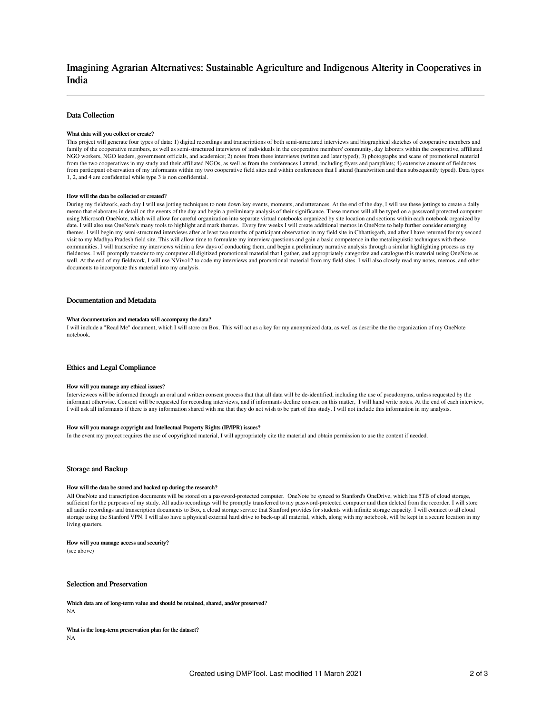# Imagining Agrarian Alternatives: Sustainable Agriculture and Indigenous Alterity in Cooperatives in India

## Data Collection

### What data will you collect or create?

This project will generate four types of data: 1) digital recordings and transcriptions of both semi-structured interviews and biographical sketches of cooperative members and family of the cooperative members, as well as semi-structured interviews of individuals in the cooperative members' community, day laborers within the cooperative, affiliated NGO workers, NGO leaders, government officials, and academics; 2) notes from these interviews (written and later typed); 3) photographs and scans of promotional material from the two cooperatives in my study and their affiliated NGOs, as well as from the conferences I attend, including flyers and pamphlets; 4) extensive amount of fieldnotes from participant observation of my informants within my two cooperative field sites and within conferences that I attend (handwritten and then subsequently typed). Data types 1, 2, and 4 are confidential while type 3 is non confidential.

#### How will the data be collected or created?

During my fieldwork, each day I will use jotting techniques to note down key events, moments, and utterances. At the end of the day, I will use these jottings to create a daily memo that elaborates in detail on the events of the day and begin a preliminary analysis of their significance. These memos will all be typed on a password protected computer using Microsoft OneNote, which will allow for careful organization into separate virtual notebooks organized by site location and sections within each notebook organized by date. I will also use OneNote's many tools to highlight and mark themes. Every few weeks I will create additional memos in OneNote to help further consider emerging themes. I will begin my semi-structured interviews after at least two months of participant observation in my field site in Chhattisgarh, and after I have returned for my second visit to my Madhya Pradesh field site. This will allow time to formulate my interview questions and gain a basic competence in the metalinguistic techniques with these communities. I will transcribe my interviews within a few days of conducting them, and begin a preliminary narrative analysis through a similar highlighting process as my fieldnotes. I will promptly transfer to my computer all digitized promotional material that I gather, and appropriately categorize and catalogue this material using OneNote as<br>well. At the end of my fieldwork, I will use N documents to incorporate this material into my analysis.

## Documentation and Metadata

#### What documentation and metadata will accompany the data?

I will include a "Read Me" document, which I will store on Box. This will act as a key for my anonymized data, as well as describe the the organization of my OneNote notebook.

## Ethics and Legal Compliance

### How will you manage any ethical issues?

Interviewees will be informed through an oral and written consent process that that all data will be de-identified, including the use of pseudonyms, unless requested by the informant otherwise. Consent will be requested for recording interviews, and if informants decline consent on this matter, I will hand write notes. At the end of each interview, I will ask all informants if there is any information shared with me that they do not wish to be part of this study. I will not include this information in my analysis.

### How will you manage copyright and Intellectual Property Rights (IP/IPR) issues?

In the event my project requires the use of copyrighted material, I will appropriately cite the material and obtain permission to use the content if needed.

### Storage and Backup

#### How will the data be stored and backed up during the research?

All OneNote and transcription documents will be stored on a password-protected computer. OneNote be synced to Stanford's OneDrive, which has 5TB of cloud storage, sufficient for the purposes of my study. All audio recordings will be promptly transferred to my password-protected computer and then deleted from the recorder. I will store all audio recordings and transcription documents to Box, a cloud storage service that Stanford provides for students with infinite storage capacity. I will connect to all cloud storage using the Stanford VPN. I will also have a physical external hard drive to back-up all material, which, along with my notebook, will be kept in a secure location in my living quarters.

#### How will you manage access and security?

(see above)

Selection and Preservation

Which data are of long-term value and should be retained, shared, and/or preserved? NA

What is the long-term preservation plan for the dataset? NA